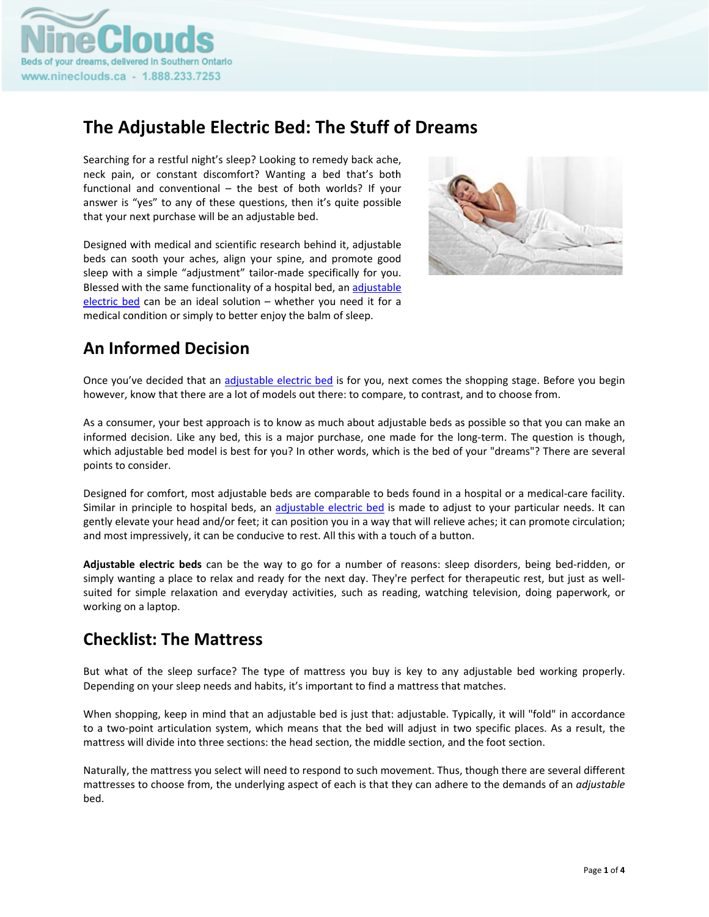

# **The Ad djustable e Electric c Bed: Th he Stuff o of Dream ms**

Searching for a restful night's sleep? Looking to remedy back ache, neck pain, or constant discomfort? Wanting a bed that's both neck pain, or constant discomfort? Wanting a bed that's both<br>functional and conventional – the best of both worlds? If your answer is "yes" to any of these questions, then it's quite possible that your next purchase will be an adjustable bed.

Designed with medical and scientific research behind it, adjustable beds can sooth your aches, align your spine, and promote good sleep with a simple "adjustment" tailor-made specifically for you Blessed with the same functionality of a hospital bed, an adjustable electric bed can be an ideal solution – whether you need it for a medical condition or simply to better enjoy the balm of sleep. Blessed with the same functionality of a hospital bed, an <u>adjustable electric bed</u> can be an ideal solution – whether you need it for a<br>medical condition or simply to better enjoy the balm of sleep.<br>**An Informed Decision** le<br>le<br>u.



## **An Info ormed De ecision**

however, know that there are a lot of models out there: to compare, to contrast, and to choose from.

As a consumer, your best approach is to know as much about adjustable beds as possible so that you can make an informed decision. Like any bed, this is a major purchase, one made for the long-term. The question is though, which adjustable bed model is best for you? In other words, which is the bed of your "dreams"? There are several points to c consider.

Designed for comfort, most adjustable beds are comparable to beds found in a hospital or a medical-care facility. Similar in principle to hospital beds, an <u>adjustable electric bed</u> is made to adjust to your particular needs. It can gently elevate your head and/or feet; it can position you in a way that will relieve aches; it can promote circulation; and most impressively, it can be conducive to rest. All this with a touch of a button.

Adjustable electric beds can be the way to go for a number of reasons: sleep disorders, being bed-ridden, or simply wanting a place to relax and ready for the next day. They're perfect for therapeutic rest, but just as wellsuited for simple relaxation and everyday activities, such as reading, watching television, doing paperwork, or working on a laptop.

## **Checkl list: The M Mattress**

But what of the sleep surface? The type of mattress you buy is key to any adjustable bed working properly. Depending on your sleep needs and habits, it's important to find a mattress that matches.

When shopping, keep in mind that an adjustable bed is just that: adjustable. Typically, it will "fold" in accordance to a two-point articulation system, which means that the bed will adjust in two specific places. As a result, the mattress will divide into three sections: the head section, the middle section, and the foot section.

Naturally, the mattress you select will need to respond to such movement. Thus, though there are several different mattresses to choose from, the underlying aspect of each is that they can adhere to the demands of an *adjustable* bed.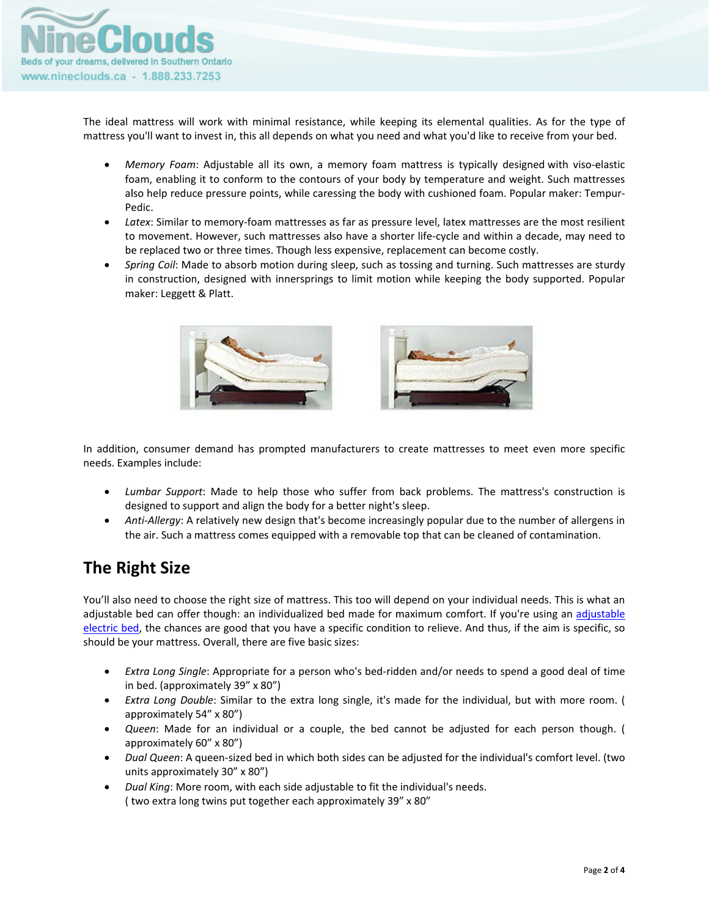

The ideal mattress will work with minimal resistance, while keeping its elemental qualities. As for the type of mattress you'll want to invest in, this all depends on what you need and what you'd like to receive from your bed.

- Memory Foam: Adjustable all its own, a memory foam mattress is typically designed with viso-elastic foam, enabling it to conform to the contours of your body by temperature and weight. Such mattresses also help reduce pressure points, while caressing the body with cushioned foam. Popular maker: Tempur-Pedic.
- Latex: Similar to memory-foam mattresses as far as pressure level, latex mattresses are the most resilient to movement. However, such mattresses also have a shorter life-cycle and within a decade, may need to be replaced two or three times. Though less expensive, replacement can become costly.
- Spring Coil: Made to absorb motion during sleep, such as tossing and turning. Such mattresses are sturdy in construction, designed with innersprings to limit motion while keeping the body supported. Popular m maker: Leggett & Platt.



In addition, consumer demand has prompted manufacturers to create mattresses to meet even more specific needs. Exa amples include :

- Lumbar Support: Made to help those who suffer from back problems. The mattress's construction is designed to support and align the body for a better night's sleep.
- Anti-Allergy: A relatively new design that's become increasingly popular due to the number of allergens in the air. Such a mattress comes equipped with a removable top that can be cleaned of contamination.

# **The Rig ght Size**

You'll also need to choose the right size of mattress. This too will depend on your individual needs. This is what an adjustable bed can offer though: an individualized bed made for maximum comfort. If you're using an adjustable electric bed, the chances are good that you have a specific condition to relieve. And thus, if the aim is specific, so should be your mattress. Overall, there are five basic sizes:

- *Extra Long Single*: Appropriate for a person who's bed-ridden and/or needs to spend a good deal of time in n bed. (approxi mately 39" x 8 80")
- *Extra Long Double*: Similar to the extra long single, it's made for the individual, but with more room. ( ap pproximately 5 54" x 80")
- *Q* ap pproximately 6 60" x 80") Queen: Made for an individual or a couple, the bed cannot be adjusted for each person though. (
- *Dual Queen*: A queen-sized bed in which both sides can be adjusted for the individual's comfort level. (two units approximately 30" x 80")
- Dual King: More room, with each side adjustable to fit the individual's needs. (two extra long twins put together each approximately 39" x 80"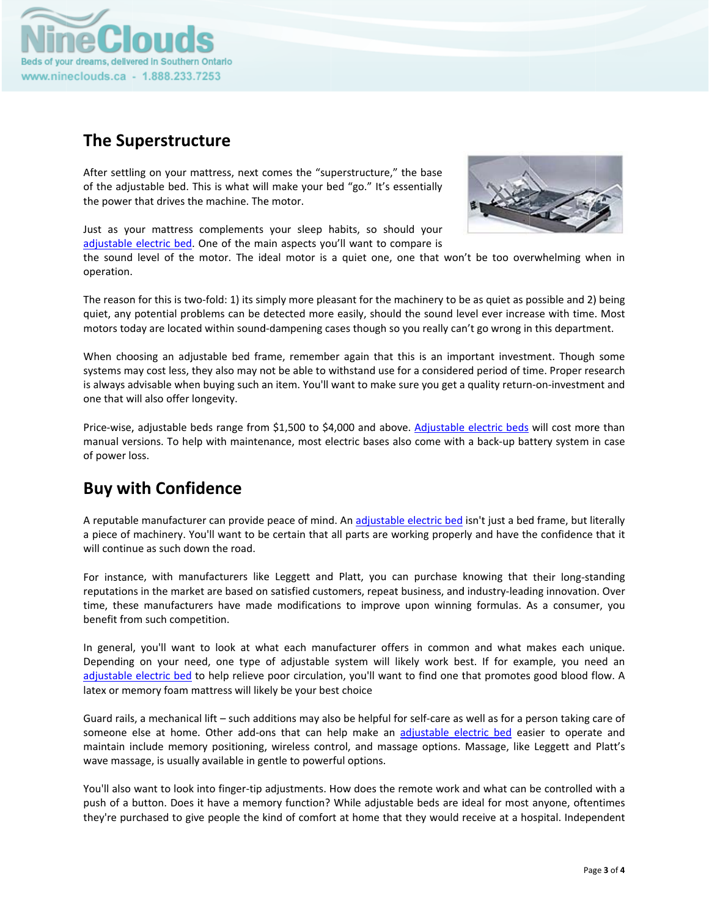

#### **The Superstructure**

After settling on your mattress, next comes the "superstructure," the base of the adjustable bed. This is what will make your bed "go." It's essentially the power that drives the machine. The motor.



Just as your mattress complements your sleep habits, so should your adjustable electric bed. One of the main aspects you'll want to compare is

the sound level of the motor. The ideal motor is a quiet one, one that won't be too overwhelming when in operation.

The reason for this is two-fold: 1) its simply more pleasant for the machinery to be as quiet as possible and 2) being quiet, any potential problems can be detected more easily, should the sound level ever increase with time. Most motors today are located within sound-dampening cases though so you really can't go wrong in this department.

When choosing an adjustable bed frame, remember again that this is an important investment. Though some systems may cost less, they also may not be able to withstand use for a considered period of time. Proper research is always advisable when buying such an item. You'll want to make sure you get a quality return-on-investment and one that will also offer longevity.

Price-wise, adjustable beds range from \$1,500 to \$4,000 and above. Adjustable electric beds will cost more than manual versions. To help with maintenance, most electric bases also come with a back-up battery system in case of power loss.

### **Buy with Confidence**

A reputable manufacturer can provide peace of mind. An adjustable electric bed isn't just a bed frame, but literally a piece of machinery. You'll want to be certain that all parts are working properly and have the confidence that it will continue as such down the road.

For instance, with manufacturers like Leggett and Platt, you can purchase knowing that their long-standing reputations in the market are based on satisfied customers, repeat business, and industry-leading innovation. Over time, these manufacturers have made modifications to improve upon winning formulas. As a consumer, you benefit from such competition.

In general, you'll want to look at what each manufacturer offers in common and what makes each unique. Depending on your need, one type of adjustable system will likely work best. If for example, you need an adjustable electric bed to help relieve poor circulation, you'll want to find one that promotes good blood flow. A latex or memory foam mattress will likely be your best choice

Guard rails, a mechanical lift - such additions may also be helpful for self-care as well as for a person taking care of someone else at home. Other add-ons that can help make an adjustable electric bed easier to operate and maintain include memory positioning, wireless control, and massage options. Massage, like Leggett and Platt's wave massage, is usually available in gentle to powerful options.

You'll also want to look into finger-tip adjustments. How does the remote work and what can be controlled with a push of a button. Does it have a memory function? While adjustable beds are ideal for most anyone, oftentimes they're purchased to give people the kind of comfort at home that they would receive at a hospital. Independent